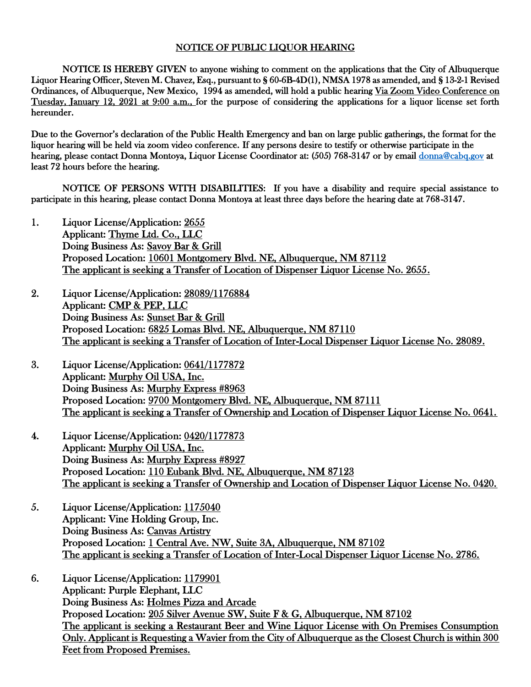## NOTICE OF PUBLIC LIQUOR HEARING

NOTICE IS HEREBY GIVEN to anyone wishing to comment on the applications that the City of Albuquerque Liquor Hearing Officer, Steven M. Chavez, Esq., pursuant to § 60-6B-4D(1), NMSA 1978 as amended, and § 13-2-1 Revised Ordinances, of Albuquerque, New Mexico, 1994 as amended, will hold a public hearing Via Zoom Video Conference on Tuesday, January 12, 2021 at 9:00 a.m., for the purpose of considering the applications for a liquor license set forth hereunder.

Due to the Governor's declaration of the Public Health Emergency and ban on large public gatherings, the format for the liquor hearing will be held via zoom video conference. If any persons desire to testify or otherwise participate in the hearing, please contact Donna Montoya, Liquor License Coordinator at: (505) 768-3147 or by email [donna@cabq.gov](mailto:donna@cabq.gov) at least 72 hours before the hearing.

NOTICE OF PERSONS WITH DISABILITIES: If you have a disability and require special assistance to participate in this hearing, please contact Donna Montoya at least three days before the hearing date at 768-3147.

- 1. Liquor License/Application: 2655 Applicant: Thyme Ltd. Co., LLC Doing Business As: Savoy Bar & Grill Proposed Location: 10601 Montgomery Blvd. NE, Albuquerque, NM 87112 The applicant is seeking a Transfer of Location of Dispenser Liquor License No. 2655.
- 2. Liquor License/Application: 28089/1176884 Applicant: CMP & PEP, LLC Doing Business As: Sunset Bar & Grill Proposed Location: 6825 Lomas Blvd. NE, Albuquerque, NM 87110 The applicant is seeking a Transfer of Location of Inter-Local Dispenser Liquor License No. 28089.
- 3. Liquor License/Application: 0641/1177872 Applicant: Murphy Oil USA, Inc. Doing Business As: Murphy Express #8963 Proposed Location: 9700 Montgomery Blvd. NE, Albuquerque, NM 87111 The applicant is seeking a Transfer of Ownership and Location of Dispenser Liquor License No. 0641.
- 4. Liquor License/Application: 0420/1177873 Applicant: Murphy Oil USA, Inc. Doing Business As: Murphy Express #8927 Proposed Location: 110 Eubank Blvd. NE, Albuquerque, NM 87123 The applicant is seeking a Transfer of Ownership and Location of Dispenser Liquor License No. 0420.
- 5. Liquor License/Application: 1175040 Applicant: Vine Holding Group, Inc. Doing Business As: Canvas Artistry Proposed Location: 1 Central Ave. NW, Suite 3A, Albuquerque, NM 87102 The applicant is seeking a Transfer of Location of Inter-Local Dispenser Liquor License No. 2786.
- 6. Liquor License/Application: 1179901 Applicant: Purple Elephant, LLC Doing Business As: Holmes Pizza and Arcade Proposed Location: 205 Silver Avenue SW, Suite F & G, Albuquerque, NM 87102 The applicant is seeking a Restaurant Beer and Wine Liquor License with On Premises Consumption Only. Applicant is Requesting a Wavier from the City of Albuquerque as the Closest Church is within 300 Feet from Proposed Premises.